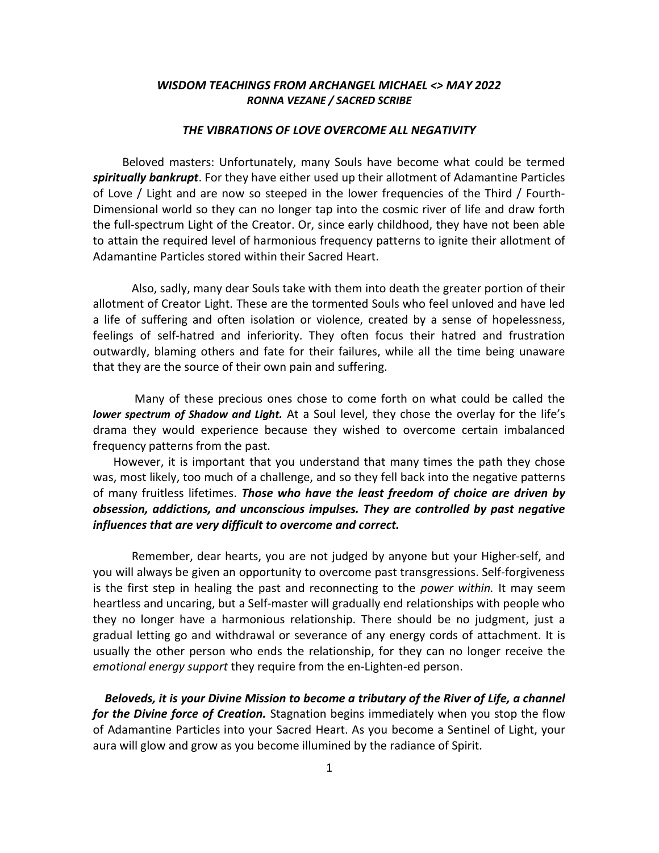# WISDOM TEACHINGS FROM ARCHANGEL MICHAEL <> MAY 2022 RONNA VEZANE / SACRED SCRIBE

## THE VIBRATIONS OF LOVE OVERCOME ALL NEGATIVITY

 Beloved masters: Unfortunately, many Souls have become what could be termed spiritually bankrupt. For they have either used up their allotment of Adamantine Particles of Love / Light and are now so steeped in the lower frequencies of the Third / Fourth-Dimensional world so they can no longer tap into the cosmic river of life and draw forth the full-spectrum Light of the Creator. Or, since early childhood, they have not been able to attain the required level of harmonious frequency patterns to ignite their allotment of Adamantine Particles stored within their Sacred Heart.

Also, sadly, many dear Souls take with them into death the greater portion of their allotment of Creator Light. These are the tormented Souls who feel unloved and have led a life of suffering and often isolation or violence, created by a sense of hopelessness, feelings of self-hatred and inferiority. They often focus their hatred and frustration outwardly, blaming others and fate for their failures, while all the time being unaware that they are the source of their own pain and suffering.

 Many of these precious ones chose to come forth on what could be called the lower spectrum of Shadow and Light. At a Soul level, they chose the overlay for the life's drama they would experience because they wished to overcome certain imbalanced frequency patterns from the past.

 However, it is important that you understand that many times the path they chose was, most likely, too much of a challenge, and so they fell back into the negative patterns of many fruitless lifetimes. Those who have the least freedom of choice are driven by obsession, addictions, and unconscious impulses. They are controlled by past negative influences that are very difficult to overcome and correct.

Remember, dear hearts, you are not judged by anyone but your Higher-self, and you will always be given an opportunity to overcome past transgressions. Self-forgiveness is the first step in healing the past and reconnecting to the *power within*. It may seem heartless and uncaring, but a Self-master will gradually end relationships with people who they no longer have a harmonious relationship. There should be no judgment, just a gradual letting go and withdrawal or severance of any energy cords of attachment. It is usually the other person who ends the relationship, for they can no longer receive the emotional energy support they require from the en-Lighten-ed person.

 Beloveds, it is your Divine Mission to become a tributary of the River of Life, a channel for the Divine force of Creation. Stagnation begins immediately when you stop the flow of Adamantine Particles into your Sacred Heart. As you become a Sentinel of Light, your aura will glow and grow as you become illumined by the radiance of Spirit.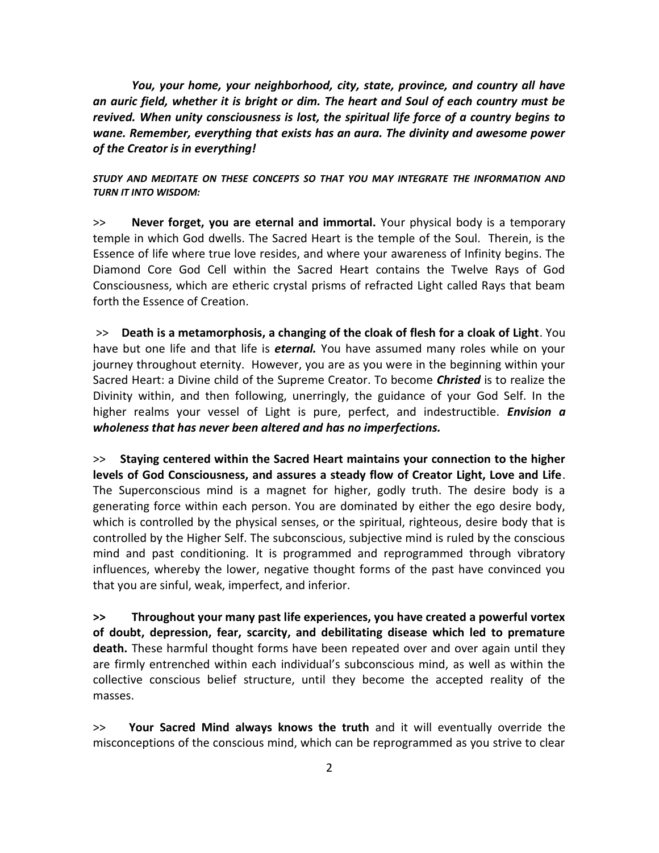You, your home, your neighborhood, city, state, province, and country all have an auric field, whether it is bright or dim. The heart and Soul of each country must be revived. When unity consciousness is lost, the spiritual life force of a country begins to wane. Remember, everything that exists has an aura. The divinity and awesome power of the Creator is in everything!

## STUDY AND MEDITATE ON THESE CONCEPTS SO THAT YOU MAY INTEGRATE THE INFORMATION AND TURN IT INTO WISDOM:

>> Never forget, you are eternal and immortal. Your physical body is a temporary temple in which God dwells. The Sacred Heart is the temple of the Soul. Therein, is the Essence of life where true love resides, and where your awareness of Infinity begins. The Diamond Core God Cell within the Sacred Heart contains the Twelve Rays of God Consciousness, which are etheric crystal prisms of refracted Light called Rays that beam forth the Essence of Creation.

 >> Death is a metamorphosis, a changing of the cloak of flesh for a cloak of Light. You have but one life and that life is *eternal*. You have assumed many roles while on your journey throughout eternity. However, you are as you were in the beginning within your Sacred Heart: a Divine child of the Supreme Creator. To become *Christed* is to realize the Divinity within, and then following, unerringly, the guidance of your God Self. In the higher realms your vessel of Light is pure, perfect, and indestructible. **Envision a** wholeness that has never been altered and has no imperfections.

>> Staying centered within the Sacred Heart maintains your connection to the higher levels of God Consciousness, and assures a steady flow of Creator Light, Love and Life. The Superconscious mind is a magnet for higher, godly truth. The desire body is a generating force within each person. You are dominated by either the ego desire body, which is controlled by the physical senses, or the spiritual, righteous, desire body that is controlled by the Higher Self. The subconscious, subjective mind is ruled by the conscious mind and past conditioning. It is programmed and reprogrammed through vibratory influences, whereby the lower, negative thought forms of the past have convinced you that you are sinful, weak, imperfect, and inferior.

>> Throughout your many past life experiences, you have created a powerful vortex of doubt, depression, fear, scarcity, and debilitating disease which led to premature death. These harmful thought forms have been repeated over and over again until they are firmly entrenched within each individual's subconscious mind, as well as within the collective conscious belief structure, until they become the accepted reality of the masses.

>> Your Sacred Mind always knows the truth and it will eventually override the misconceptions of the conscious mind, which can be reprogrammed as you strive to clear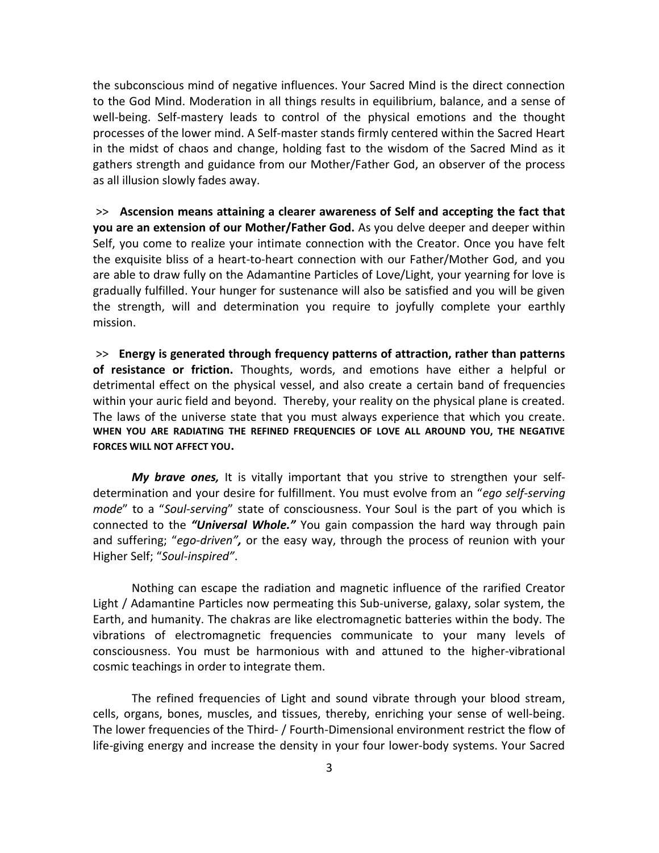the subconscious mind of negative influences. Your Sacred Mind is the direct connection to the God Mind. Moderation in all things results in equilibrium, balance, and a sense of well-being. Self-mastery leads to control of the physical emotions and the thought processes of the lower mind. A Self-master stands firmly centered within the Sacred Heart in the midst of chaos and change, holding fast to the wisdom of the Sacred Mind as it gathers strength and guidance from our Mother/Father God, an observer of the process as all illusion slowly fades away.

 >> Ascension means attaining a clearer awareness of Self and accepting the fact that you are an extension of our Mother/Father God. As you delve deeper and deeper within Self, you come to realize your intimate connection with the Creator. Once you have felt the exquisite bliss of a heart-to-heart connection with our Father/Mother God, and you are able to draw fully on the Adamantine Particles of Love/Light, your yearning for love is gradually fulfilled. Your hunger for sustenance will also be satisfied and you will be given the strength, will and determination you require to joyfully complete your earthly mission.

 >> Energy is generated through frequency patterns of attraction, rather than patterns of resistance or friction. Thoughts, words, and emotions have either a helpful or detrimental effect on the physical vessel, and also create a certain band of frequencies within your auric field and beyond. Thereby, your reality on the physical plane is created. The laws of the universe state that you must always experience that which you create. WHEN YOU ARE RADIATING THE REFINED FREQUENCIES OF LOVE ALL AROUND YOU, THE NEGATIVE FORCES WILL NOT AFFECT YOU.

My brave ones, It is vitally important that you strive to strengthen your selfdetermination and your desire for fulfillment. You must evolve from an "ego self-serving mode" to a "Soul-serving" state of consciousness. Your Soul is the part of you which is connected to the "Universal Whole." You gain compassion the hard way through pain and suffering; "ego-driven", or the easy way, through the process of reunion with your Higher Self; "Soul-inspired".

 Nothing can escape the radiation and magnetic influence of the rarified Creator Light / Adamantine Particles now permeating this Sub-universe, galaxy, solar system, the Earth, and humanity. The chakras are like electromagnetic batteries within the body. The vibrations of electromagnetic frequencies communicate to your many levels of consciousness. You must be harmonious with and attuned to the higher-vibrational cosmic teachings in order to integrate them.

 The refined frequencies of Light and sound vibrate through your blood stream, cells, organs, bones, muscles, and tissues, thereby, enriching your sense of well-being. The lower frequencies of the Third- / Fourth-Dimensional environment restrict the flow of life-giving energy and increase the density in your four lower-body systems. Your Sacred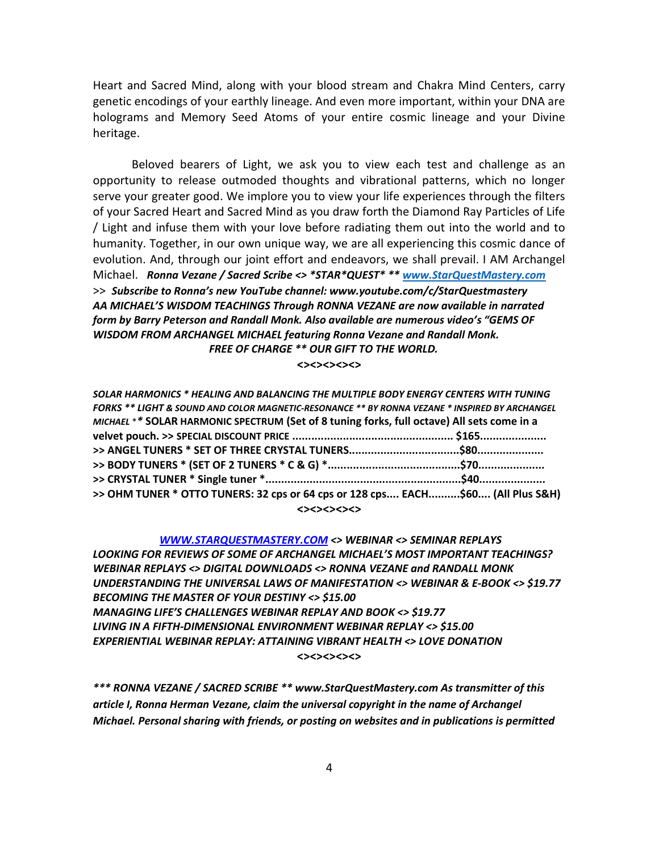Heart and Sacred Mind, along with your blood stream and Chakra Mind Centers, carry genetic encodings of your earthly lineage. And even more important, within your DNA are holograms and Memory Seed Atoms of your entire cosmic lineage and your Divine heritage.

 Beloved bearers of Light, we ask you to view each test and challenge as an opportunity to release outmoded thoughts and vibrational patterns, which no longer serve your greater good. We implore you to view your life experiences through the filters of your Sacred Heart and Sacred Mind as you draw forth the Diamond Ray Particles of Life / Light and infuse them with your love before radiating them out into the world and to humanity. Together, in our own unique way, we are all experiencing this cosmic dance of evolution. And, through our joint effort and endeavors, we shall prevail. I AM Archangel Michael. Ronna Vezane / Sacred Scribe <> \*STAR\*QUEST\* \*\* www.StarQuestMastery.com >> Subscribe to Ronna's new YouTube channel: www.youtube.com/c/StarQuestmastery AA MICHAEL'S WISDOM TEACHINGS Through RONNA VEZANE are now available in narrated form by Barry Peterson and Randall Monk. Also available are numerous video's "GEMS OF WISDOM FROM ARCHANGEL MICHAEL featuring Ronna Vezane and Randall Monk. FREE OF CHARGE \*\* OUR GIFT TO THE WORLD.

<><><><><>

| SOLAR HARMONICS * HEALING AND BALANCING THE MULTIPLE BODY ENERGY CENTERS WITH TUNING           |  |
|------------------------------------------------------------------------------------------------|--|
| FORKS ** LIGHT & SOUND AND COLOR MAGNETIC-RESONANCE ** BY RONNA VEZANE * INSPIRED BY ARCHANGEL |  |
| MICHAEL ** SOLAR HARMONIC SPECTRUM (Set of 8 tuning forks, full octave) All sets come in a     |  |
|                                                                                                |  |
|                                                                                                |  |
|                                                                                                |  |
|                                                                                                |  |
| >> OHM TUNER * OTTO TUNERS: 32 cps or 64 cps or 128 cps EACH\$60 (All Plus S&H)                |  |
| <><><><><>                                                                                     |  |

WWW.STARQUESTMASTERY.COM <> WEBINAR <> SEMINAR REPLAYS LOOKING FOR REVIEWS OF SOME OF ARCHANGEL MICHAEL'S MOST IMPORTANT TEACHINGS? WEBINAR REPLAYS <> DIGITAL DOWNLOADS <> RONNA VEZANE and RANDALL MONK UNDERSTANDING THE UNIVERSAL LAWS OF MANIFESTATION <> WEBINAR & E-BOOK <> \$19.77 BECOMING THE MASTER OF YOUR DESTINY <> \$15.00 MANAGING LIFE'S CHALLENGES WEBINAR REPLAY AND BOOK <> \$19.77 LIVING IN A FIFTH-DIMENSIONAL ENVIRONMENT WEBINAR REPLAY <> \$15.00 EXPERIENTIAL WEBINAR REPLAY: ATTAINING VIBRANT HEALTH <> LOVE DONATION <><><><><>

\*\*\* RONNA VEZANE / SACRED SCRIBE \*\* www.StarQuestMastery.com As transmitter of this article I, Ronna Herman Vezane, claim the universal copyright in the name of Archangel Michael. Personal sharing with friends, or posting on websites and in publications is permitted